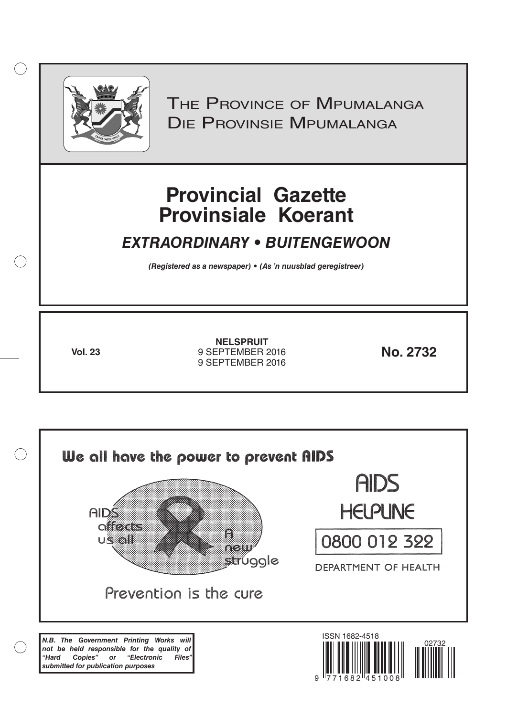

 $( )$ 

THE PROVINCE OF MPUMALANGA Die Provinsie Mpumalanga

# **Provincial Gazette Provinsiale Koerant**

# *EXTRAORDINARY • BUITENGEWOON*

*(Registered as a newspaper) • (As 'n nuusblad geregistreer)*

**Vol. 23 No. 2732** 9 SEPTEMBER 2016 **NELSPRUIT** 9 SEPTEMBER 2016

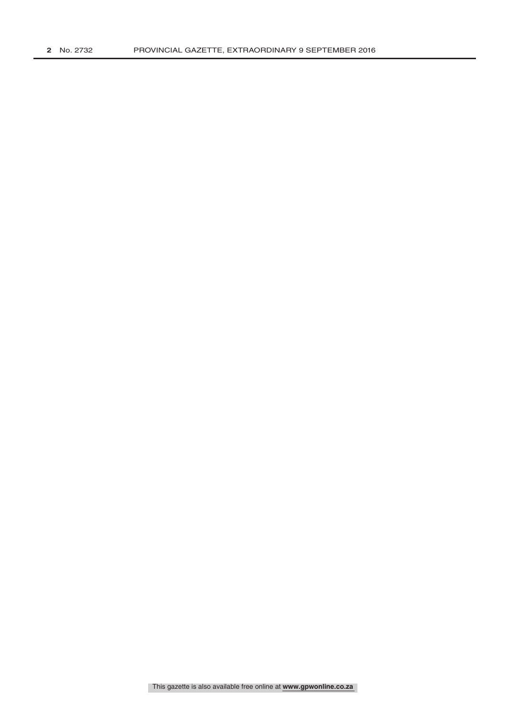This gazette is also available free online at **www.gpwonline.co.za**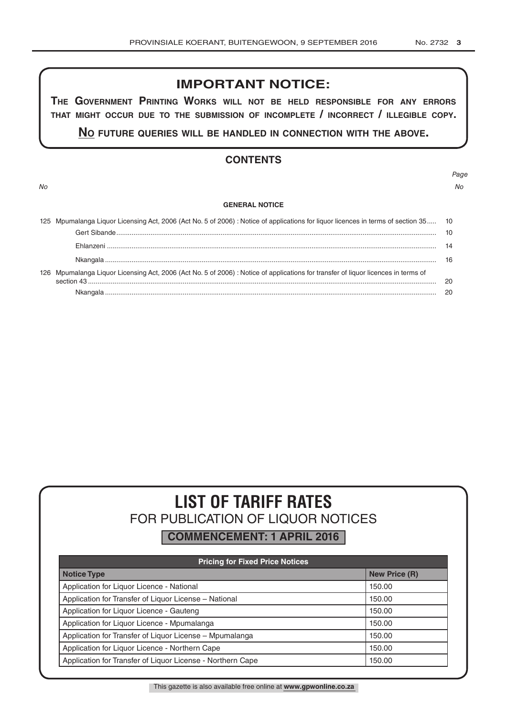# **IMPORTANT NOTICE:**

**The GovernmenT PrinTinG Works Will noT be held resPonsible for any errors ThaT miGhT occur due To The submission of incomPleTe / incorrecT / illeGible coPy.**

**no fuTure queries Will be handled in connecTion WiTh The above.**

# **CONTENTS**

*No No*

# *Page*

#### **GENERAL NOTICE**

| 125 Mpumalanga Liquor Licensing Act, 2006 (Act No. 5 of 2006) : Notice of applications for liquor licences in terms of section 35 10 |    |
|--------------------------------------------------------------------------------------------------------------------------------------|----|
|                                                                                                                                      | 10 |
|                                                                                                                                      | 14 |
|                                                                                                                                      | 16 |
| 126 Mpumalanga Liquor Licensing Act, 2006 (Act No. 5 of 2006) : Notice of applications for transfer of liquor licences in terms of   | 20 |
|                                                                                                                                      | 20 |

# **LIST OF TARIFF RATES** FOR PUBLICATION OF LIQUOR NOTICES

**COMMENCEMENT: 1 APRIL 2016**

| <b>Pricing for Fixed Price Notices</b>                     |                      |  |  |  |  |
|------------------------------------------------------------|----------------------|--|--|--|--|
| <b>Notice Type</b>                                         | <b>New Price (R)</b> |  |  |  |  |
| Application for Liquor Licence - National                  | 150.00               |  |  |  |  |
| Application for Transfer of Liquor License - National      | 150.00               |  |  |  |  |
| Application for Liquor Licence - Gauteng                   | 150.00               |  |  |  |  |
| Application for Liquor Licence - Mpumalanga                | 150.00               |  |  |  |  |
| Application for Transfer of Liquor License - Mpumalanga    | 150.00               |  |  |  |  |
| Application for Liquor Licence - Northern Cape             | 150.00               |  |  |  |  |
| Application for Transfer of Liquor License - Northern Cape | 150.00               |  |  |  |  |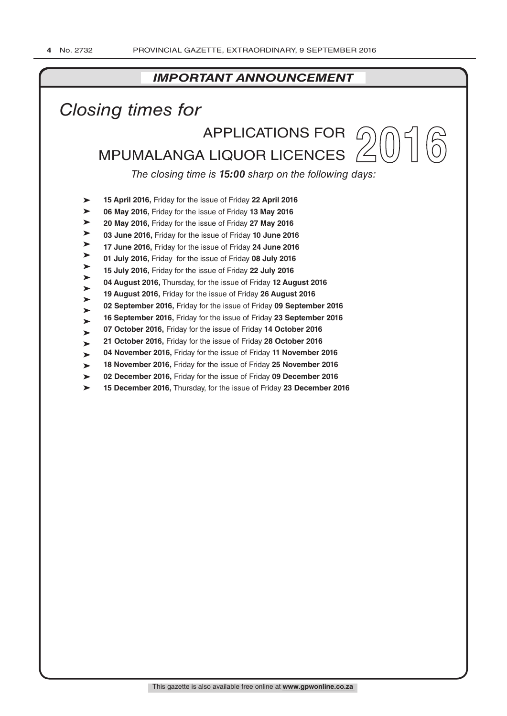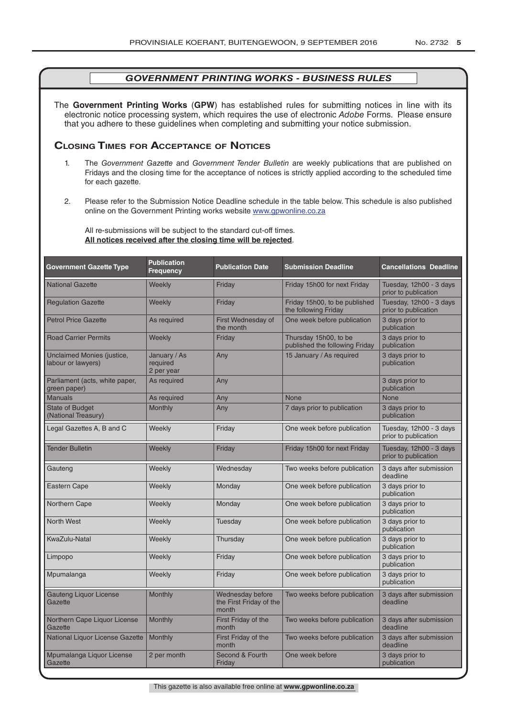The **Government Printing Works** (**GPW**) has established rules for submitting notices in line with its electronic notice processing system, which requires the use of electronic *Adobe* Forms. Please ensure that you adhere to these guidelines when completing and submitting your notice submission.

# **Closing Times for ACCepTAnCe of noTiCes**

- 1. The *Government Gazette* and *Government Tender Bulletin* are weekly publications that are published on Fridays and the closing time for the acceptance of notices is strictly applied according to the scheduled time for each gazette.
- 2. Please refer to the Submission Notice Deadline schedule in the table below. This schedule is also published online on the Government Printing works website www.gpwonline.co.za

All re-submissions will be subject to the standard cut-off times. **All notices received after the closing time will be rejected**.

| <b>Government Gazette Type</b>                   | <b>Publication</b><br>Frequency        | <b>Publication Date</b>                              | <b>Submission Deadline</b>                              | <b>Cancellations Deadline</b>                   |
|--------------------------------------------------|----------------------------------------|------------------------------------------------------|---------------------------------------------------------|-------------------------------------------------|
| <b>National Gazette</b>                          | Weekly                                 | Friday                                               | Friday 15h00 for next Friday                            | Tuesday, 12h00 - 3 days<br>prior to publication |
| <b>Regulation Gazette</b>                        | Weekly                                 | Friday                                               | Friday 15h00, to be published<br>the following Friday   | Tuesday, 12h00 - 3 days<br>prior to publication |
| <b>Petrol Price Gazette</b>                      | As required                            | First Wednesday of<br>the month                      | One week before publication                             | 3 days prior to<br>publication                  |
| <b>Road Carrier Permits</b>                      | Weekly                                 | Friday                                               | Thursday 15h00, to be<br>published the following Friday | 3 days prior to<br>publication                  |
| Unclaimed Monies (justice,<br>labour or lawyers) | January / As<br>required<br>2 per year | Any                                                  | 15 January / As required                                | 3 days prior to<br>publication                  |
| Parliament (acts, white paper,<br>green paper)   | As required                            | Any                                                  |                                                         | 3 days prior to<br>publication                  |
| <b>Manuals</b>                                   | As required                            | Any                                                  | <b>None</b>                                             | <b>None</b>                                     |
| <b>State of Budget</b><br>(National Treasury)    | Monthly                                | Any                                                  | 7 days prior to publication                             | 3 days prior to<br>publication                  |
| Legal Gazettes A, B and C                        | Weekly                                 | Friday                                               | One week before publication                             | Tuesday, 12h00 - 3 days<br>prior to publication |
| <b>Tender Bulletin</b>                           | Weekly                                 | Friday                                               | Friday 15h00 for next Friday                            | Tuesday, 12h00 - 3 days<br>prior to publication |
| Gauteng                                          | Weekly                                 | Wednesday                                            | Two weeks before publication                            | 3 days after submission<br>deadline             |
| <b>Eastern Cape</b>                              | Weekly                                 | Monday                                               | One week before publication                             | 3 days prior to<br>publication                  |
| Northern Cape                                    | Weekly                                 | Monday                                               | One week before publication                             | 3 days prior to<br>publication                  |
| <b>North West</b>                                | Weekly                                 | Tuesday                                              | One week before publication                             | 3 days prior to<br>publication                  |
| KwaZulu-Natal                                    | Weekly                                 | Thursday                                             | One week before publication                             | 3 days prior to<br>publication                  |
| Limpopo                                          | Weekly                                 | Friday                                               | One week before publication                             | 3 days prior to<br>publication                  |
| Mpumalanga                                       | Weekly                                 | Friday                                               | One week before publication                             | 3 days prior to<br>publication                  |
| <b>Gauteng Liquor License</b><br>Gazette         | Monthly                                | Wednesday before<br>the First Friday of the<br>month | Two weeks before publication                            | 3 days after submission<br>deadline             |
| Northern Cape Liquor License<br>Gazette          | Monthly                                | First Friday of the<br>month                         | Two weeks before publication                            | 3 days after submission<br>deadline             |
| National Liquor License Gazette                  | <b>Monthly</b>                         | First Friday of the<br>month                         | Two weeks before publication                            | 3 days after submission<br>deadline             |
| Mpumalanga Liquor License<br>Gazette             | 2 per month                            | Second & Fourth<br>Friday                            | One week before                                         | 3 days prior to<br>publication                  |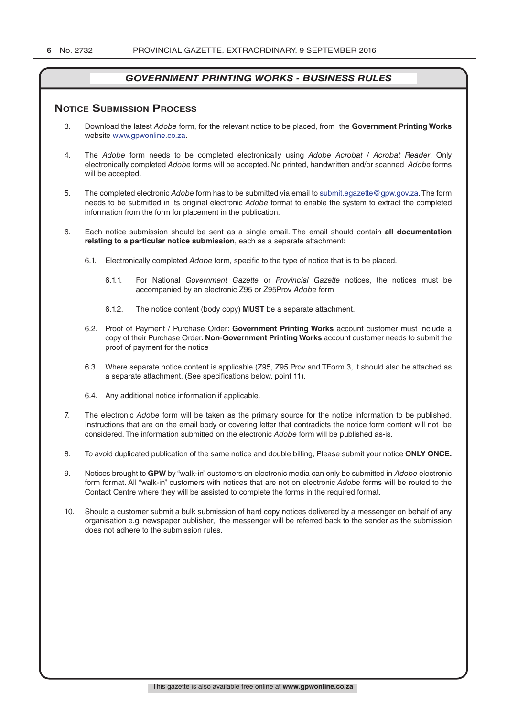# **NOTICE SUBMISSION PROCESS**

- 3. Download the latest *Adobe* form, for the relevant notice to be placed, from the **Government Printing Works** website www.gpwonline.co.za.
- 4. The *Adobe* form needs to be completed electronically using *Adobe Acrobat* / *Acrobat Reader*. Only electronically completed *Adobe* forms will be accepted. No printed, handwritten and/or scanned *Adobe* forms will be accepted.
- 5. The completed electronic *Adobe* form has to be submitted via email to submit.egazette@gpw.gov.za. The form needs to be submitted in its original electronic *Adobe* format to enable the system to extract the completed information from the form for placement in the publication.
- 6. Each notice submission should be sent as a single email. The email should contain **all documentation relating to a particular notice submission**, each as a separate attachment:
	- 6.1. Electronically completed *Adobe* form, specific to the type of notice that is to be placed.
		- 6.1.1. For National *Government Gazette* or *Provincial Gazette* notices, the notices must be accompanied by an electronic Z95 or Z95Prov *Adobe* form
		- 6.1.2. The notice content (body copy) **MUST** be a separate attachment.
	- 6.2. Proof of Payment / Purchase Order: **Government Printing Works** account customer must include a copy of their Purchase Order*.* **Non**-**Government Printing Works** account customer needs to submit the proof of payment for the notice
	- 6.3. Where separate notice content is applicable (Z95, Z95 Prov and TForm 3, it should also be attached as a separate attachment. (See specifications below, point 11).
	- 6.4. Any additional notice information if applicable.
- 7. The electronic *Adobe* form will be taken as the primary source for the notice information to be published. Instructions that are on the email body or covering letter that contradicts the notice form content will not be considered. The information submitted on the electronic *Adobe* form will be published as-is.
- 8. To avoid duplicated publication of the same notice and double billing, Please submit your notice **ONLY ONCE.**
- 9. Notices brought to **GPW** by "walk-in" customers on electronic media can only be submitted in *Adobe* electronic form format. All "walk-in" customers with notices that are not on electronic *Adobe* forms will be routed to the Contact Centre where they will be assisted to complete the forms in the required format.
- 10. Should a customer submit a bulk submission of hard copy notices delivered by a messenger on behalf of any organisation e.g. newspaper publisher, the messenger will be referred back to the sender as the submission does not adhere to the submission rules.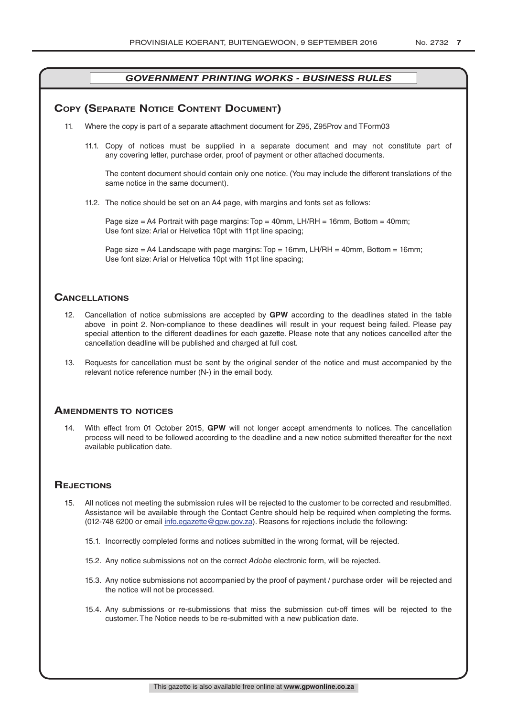# **COPY (SEPARATE NOTICE CONTENT DOCUMENT)**

- 11. Where the copy is part of a separate attachment document for Z95, Z95Prov and TForm03
	- 11.1. Copy of notices must be supplied in a separate document and may not constitute part of any covering letter, purchase order, proof of payment or other attached documents.

The content document should contain only one notice. (You may include the different translations of the same notice in the same document).

11.2. The notice should be set on an A4 page, with margins and fonts set as follows:

Page size  $=$  A4 Portrait with page margins: Top  $=$  40mm, LH/RH  $=$  16mm, Bottom  $=$  40mm; Use font size: Arial or Helvetica 10pt with 11pt line spacing;

Page size = A4 Landscape with page margins: Top = 16mm, LH/RH = 40mm, Bottom = 16mm; Use font size: Arial or Helvetica 10pt with 11pt line spacing;

# **CAnCellATions**

- 12. Cancellation of notice submissions are accepted by **GPW** according to the deadlines stated in the table above in point 2. Non-compliance to these deadlines will result in your request being failed. Please pay special attention to the different deadlines for each gazette. Please note that any notices cancelled after the cancellation deadline will be published and charged at full cost.
- 13. Requests for cancellation must be sent by the original sender of the notice and must accompanied by the relevant notice reference number (N-) in the email body.

# **AmenDmenTs To noTiCes**

14. With effect from 01 October 2015, **GPW** will not longer accept amendments to notices. The cancellation process will need to be followed according to the deadline and a new notice submitted thereafter for the next available publication date.

# **REJECTIONS**

- 15. All notices not meeting the submission rules will be rejected to the customer to be corrected and resubmitted. Assistance will be available through the Contact Centre should help be required when completing the forms. (012-748 6200 or email info.egazette@gpw.gov.za). Reasons for rejections include the following:
	- 15.1. Incorrectly completed forms and notices submitted in the wrong format, will be rejected.
	- 15.2. Any notice submissions not on the correct *Adobe* electronic form, will be rejected.
	- 15.3. Any notice submissions not accompanied by the proof of payment / purchase order will be rejected and the notice will not be processed.
	- 15.4. Any submissions or re-submissions that miss the submission cut-off times will be rejected to the customer. The Notice needs to be re-submitted with a new publication date.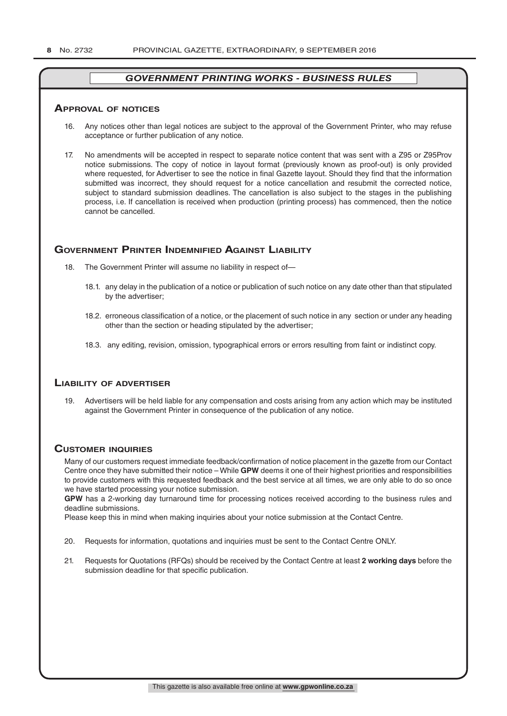#### **ApprovAl of noTiCes**

- 16. Any notices other than legal notices are subject to the approval of the Government Printer, who may refuse acceptance or further publication of any notice.
- 17. No amendments will be accepted in respect to separate notice content that was sent with a Z95 or Z95Prov notice submissions. The copy of notice in layout format (previously known as proof-out) is only provided where requested, for Advertiser to see the notice in final Gazette layout. Should they find that the information submitted was incorrect, they should request for a notice cancellation and resubmit the corrected notice, subject to standard submission deadlines. The cancellation is also subject to the stages in the publishing process, i.e. If cancellation is received when production (printing process) has commenced, then the notice cannot be cancelled.

# **GOVERNMENT PRINTER INDEMNIFIED AGAINST LIABILITY**

- 18. The Government Printer will assume no liability in respect of-
	- 18.1. any delay in the publication of a notice or publication of such notice on any date other than that stipulated by the advertiser;
	- 18.2. erroneous classification of a notice, or the placement of such notice in any section or under any heading other than the section or heading stipulated by the advertiser;
	- 18.3. any editing, revision, omission, typographical errors or errors resulting from faint or indistinct copy.

# **liAbiliTy of ADverTiser**

19. Advertisers will be held liable for any compensation and costs arising from any action which may be instituted against the Government Printer in consequence of the publication of any notice.

# **CusTomer inquiries**

Many of our customers request immediate feedback/confirmation of notice placement in the gazette from our Contact Centre once they have submitted their notice – While **GPW** deems it one of their highest priorities and responsibilities to provide customers with this requested feedback and the best service at all times, we are only able to do so once we have started processing your notice submission.

**GPW** has a 2-working day turnaround time for processing notices received according to the business rules and deadline submissions.

Please keep this in mind when making inquiries about your notice submission at the Contact Centre.

- 20. Requests for information, quotations and inquiries must be sent to the Contact Centre ONLY.
- 21. Requests for Quotations (RFQs) should be received by the Contact Centre at least **2 working days** before the submission deadline for that specific publication.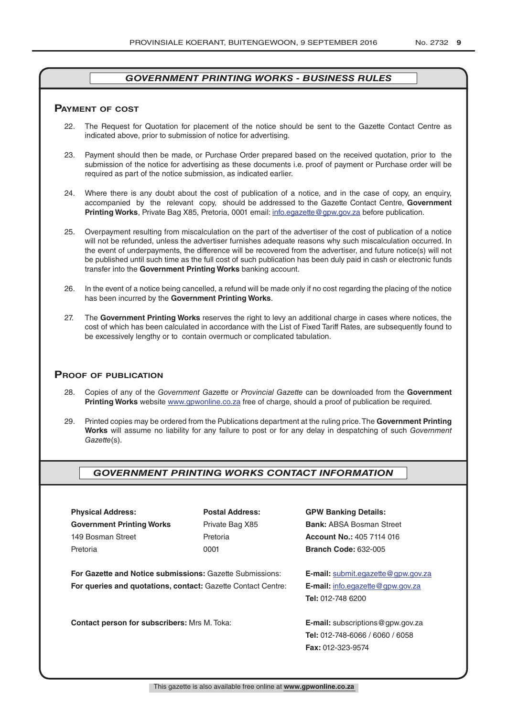# **pAymenT of CosT**

- 22. The Request for Quotation for placement of the notice should be sent to the Gazette Contact Centre as indicated above, prior to submission of notice for advertising.
- 23. Payment should then be made, or Purchase Order prepared based on the received quotation, prior to the submission of the notice for advertising as these documents i.e. proof of payment or Purchase order will be required as part of the notice submission, as indicated earlier.
- 24. Where there is any doubt about the cost of publication of a notice, and in the case of copy, an enquiry, accompanied by the relevant copy, should be addressed to the Gazette Contact Centre, **Government Printing Works**, Private Bag X85, Pretoria, 0001 email: info.egazette@gpw.gov.za before publication.
- 25. Overpayment resulting from miscalculation on the part of the advertiser of the cost of publication of a notice will not be refunded, unless the advertiser furnishes adequate reasons why such miscalculation occurred. In the event of underpayments, the difference will be recovered from the advertiser, and future notice(s) will not be published until such time as the full cost of such publication has been duly paid in cash or electronic funds transfer into the **Government Printing Works** banking account.
- 26. In the event of a notice being cancelled, a refund will be made only if no cost regarding the placing of the notice has been incurred by the **Government Printing Works**.
- 27. The **Government Printing Works** reserves the right to levy an additional charge in cases where notices, the cost of which has been calculated in accordance with the List of Fixed Tariff Rates, are subsequently found to be excessively lengthy or to contain overmuch or complicated tabulation.

# **proof of publiCATion**

- 28. Copies of any of the *Government Gazette* or *Provincial Gazette* can be downloaded from the **Government Printing Works** website www.gpwonline.co.za free of charge, should a proof of publication be required.
- 29. Printed copies may be ordered from the Publications department at the ruling price. The **Government Printing Works** will assume no liability for any failure to post or for any delay in despatching of such *Government Gazette*(s).

# *GOVERNMENT PRINTING WORKS CONTACT INFORMATION*

**Physical Address: Postal Address: GPW Banking Details: Government Printing Works** Private Bag X85 **Bank:** ABSA Bosman Street 149 Bosman Street Pretoria **Account No.:** 405 7114 016 Pretoria 0001 **Branch Code:** 632-005

**For Gazette and Notice submissions:** Gazette Submissions: **E-mail:** submit.egazette@gpw.gov.za **For queries and quotations, contact:** Gazette Contact Centre: **E-mail:** info.egazette@gpw.gov.za

**Contact person for subscribers:** Mrs M. Toka: **E-mail:** subscriptions@gpw.gov.za

**Tel:** 012-748 6200

**Tel:** 012-748-6066 / 6060 / 6058 **Fax:** 012-323-9574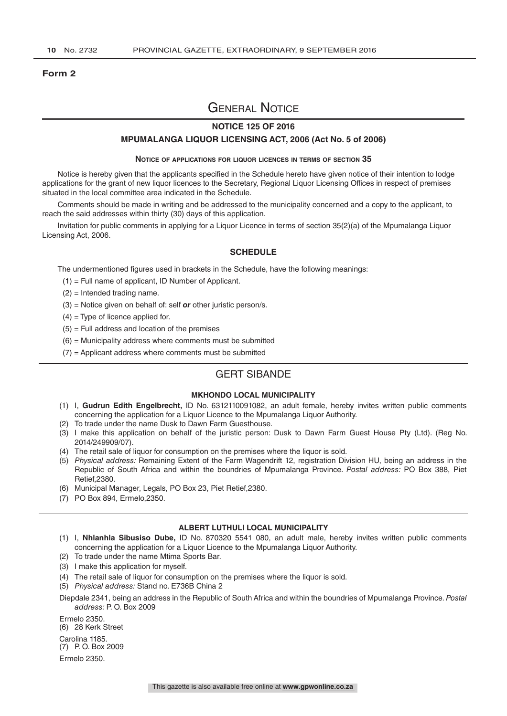#### **Form 2**

# General Notice

# **NOTICE 125 OF 2016**

#### **MPUMALANGA LIQUOR LICENSING ACT, 2006 (Act No. 5 of 2006)**

#### **Notice of applications for liquor licences in terms of section 35**

Notice is hereby given that the applicants specified in the Schedule hereto have given notice of their intention to lodge applications for the grant of new liquor licences to the Secretary, Regional Liquor Licensing Offices in respect of premises situated in the local committee area indicated in the Schedule.

Comments should be made in writing and be addressed to the municipality concerned and a copy to the applicant, to reach the said addresses within thirty (30) days of this application.

Invitation for public comments in applying for a Liquor Licence in terms of section 35(2)(a) of the Mpumalanga Liquor Licensing Act, 2006.

#### **SCHEDULE**

The undermentioned figures used in brackets in the Schedule, have the following meanings:

- (1) = Full name of applicant, ID Number of Applicant.
- (2) = Intended trading name.
- (3) = Notice given on behalf of: self *or* other juristic person/s.
- $(4)$  = Type of licence applied for.
- $(5)$  = Full address and location of the premises
- $(6)$  = Municipality address where comments must be submitted
- $(7)$  = Applicant address where comments must be submitted

# GERT SIBANDE

# **MKHONDO LOCAL MUNICIPALITY**

- (1) I, **Gudrun Edith Engelbrecht,** ID No. 6312110091082, an adult female, hereby invites written public comments concerning the application for a Liquor Licence to the Mpumalanga Liquor Authority.
- (2) To trade under the name Dusk to Dawn Farm Guesthouse.
- (3) I make this application on behalf of the juristic person: Dusk to Dawn Farm Guest House Pty (Ltd). (Reg No. 2014/249909/07).
- (4) The retail sale of liquor for consumption on the premises where the liquor is sold.
- (5) *Physical address:* Remaining Extent of the Farm Wagendrift 12, registration Division HU, being an address in the Republic of South Africa and within the boundries of Mpumalanga Province. *Postal address:* PO Box 388, Piet Retief,2380.
- (6) Municipal Manager, Legals, PO Box 23, Piet Retief,2380.
- (7) PO Box 894, Ermelo,2350.

#### **ALBERT LUTHULI LOCAL MUNICIPALITY**

- (1) I, **Nhlanhla Sibusiso Dube,** ID No. 870320 5541 080, an adult male, hereby invites written public comments concerning the application for a Liquor Licence to the Mpumalanga Liquor Authority.
- (2) To trade under the name Mtima Sports Bar.
- (3) I make this application for myself.
- (4) The retail sale of liquor for consumption on the premises where the liquor is sold.
- (5) *Physical address:* Stand no. E736B China 2
- Diepdale 2341, being an address in the Republic of South Africa and within the boundries of Mpumalanga Province. *Postal address:* P. O. Box 2009

Ermelo 2350. (6) 28 Kerk Street Carolina 1185. (7) P. O. Box 2009

Ermelo 2350.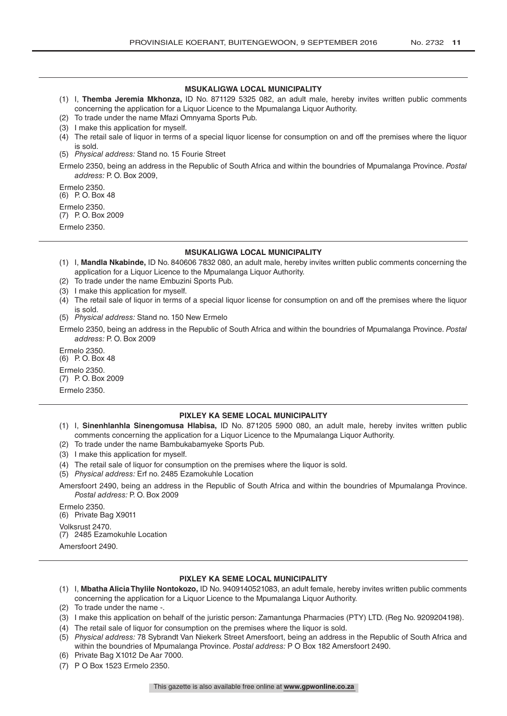#### **MSUKALIGWA LOCAL MUNICIPALITY**

- (1) I, **Themba Jeremia Mkhonza,** ID No. 871129 5325 082, an adult male, hereby invites written public comments concerning the application for a Liquor Licence to the Mpumalanga Liquor Authority.
- (2) To trade under the name Mfazi Omnyama Sports Pub.
- (3) I make this application for myself.
- (4) The retail sale of liquor in terms of a special liquor license for consumption on and off the premises where the liquor is sold.
- (5) *Physical address:* Stand no. 15 Fourie Street

Ermelo 2350, being an address in the Republic of South Africa and within the boundries of Mpumalanga Province. *Postal address:* P. O. Box 2009,

Ermelo 2350. (6) P. O. Box 48 Ermelo 2350. (7) P. O. Box 2009 Ermelo 2350.

# **MSUKALIGWA LOCAL MUNICIPALITY**

- (1) I, **Mandla Nkabinde,** ID No. 840606 7832 080, an adult male, hereby invites written public comments concerning the application for a Liquor Licence to the Mpumalanga Liquor Authority.
- (2) To trade under the name Embuzini Sports Pub.
- (3) I make this application for myself.
- (4) The retail sale of liquor in terms of a special liquor license for consumption on and off the premises where the liquor is sold.
- (5) *Physical address:* Stand no. 150 New Ermelo
- Ermelo 2350, being an address in the Republic of South Africa and within the boundries of Mpumalanga Province. *Postal address:* P. O. Box 2009

Ermelo 2350.

(6) P. O. Box 48 Ermelo 2350. (7) P. O. Box 2009 Ermelo 2350.

**PIXLEY KA SEME LOCAL MUNICIPALITY**

- (1) I, **Sinenhlanhla Sinengomusa Hlabisa,** ID No. 871205 5900 080, an adult male, hereby invites written public comments concerning the application for a Liquor Licence to the Mpumalanga Liquor Authority.
- (2) To trade under the name Bambukabamyeke Sports Pub.
- (3) I make this application for myself.
- (4) The retail sale of liquor for consumption on the premises where the liquor is sold.
- (5) *Physical address:* Erf no. 2485 Ezamokuhle Location

Amersfoort 2490, being an address in the Republic of South Africa and within the boundries of Mpumalanga Province. *Postal address:* P. O. Box 2009

Ermelo 2350. (6) Private Bag X9011 Volksrust 2470. (7) 2485 Ezamokuhle Location Amersfoort 2490.

#### **PIXLEY KA SEME LOCAL MUNICIPALITY**

- (1) I, **Mbatha Alicia Thylile Nontokozo,** ID No. 9409140521083, an adult female, hereby invites written public comments concerning the application for a Liquor Licence to the Mpumalanga Liquor Authority.
- (2) To trade under the name -.
- (3) I make this application on behalf of the juristic person: Zamantunga Pharmacies (PTY) LTD. (Reg No. 9209204198).
- (4) The retail sale of liquor for consumption on the premises where the liquor is sold.
- (5) *Physical address:* 78 Sybrandt Van Niekerk Street Amersfoort, being an address in the Republic of South Africa and within the boundries of Mpumalanga Province. *Postal address:* P O Box 182 Amersfoort 2490.
- (6) Private Bag X1012 De Aar 7000.
- (7) P O Box 1523 Ermelo 2350.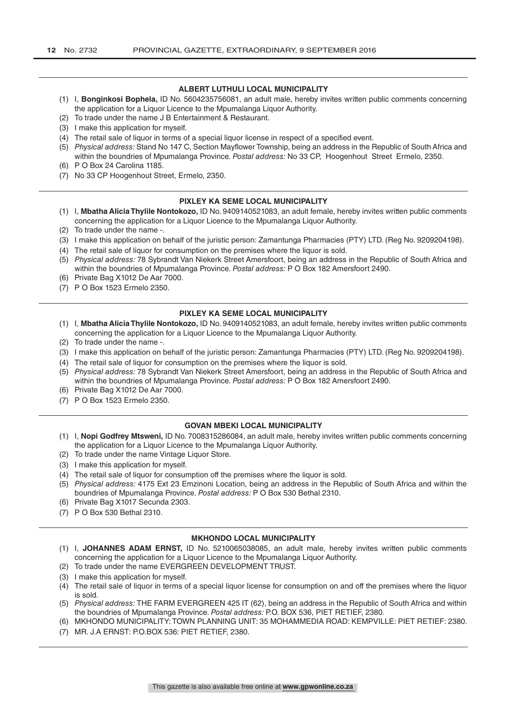# **ALBERT LUTHULI LOCAL MUNICIPALITY**

- (1) I, **Bonginkosi Bophela,** ID No. 5604235756081, an adult male, hereby invites written public comments concerning the application for a Liquor Licence to the Mpumalanga Liquor Authority.
- (2) To trade under the name J B Entertainment & Restaurant.
- (3) I make this application for myself.
- (4) The retail sale of liquor in terms of a special liquor license in respect of a specified event.
- (5) *Physical address:* Stand No 147 C, Section Mayflower Township, being an address in the Republic of South Africa and within the boundries of Mpumalanga Province. *Postal address:* No 33 CP, Hoogenhout Street Ermelo, 2350.
- (6) P O Box 24 Carolina 1185.
- (7) No 33 CP Hoogenhout Street, Ermelo, 2350.

#### **PIXLEY KA SEME LOCAL MUNICIPALITY**

- (1) I, **Mbatha Alicia Thylile Nontokozo,** ID No. 9409140521083, an adult female, hereby invites written public comments concerning the application for a Liquor Licence to the Mpumalanga Liquor Authority.
- (2) To trade under the name -.
- (3) I make this application on behalf of the juristic person: Zamantunga Pharmacies (PTY) LTD. (Reg No. 9209204198).
- (4) The retail sale of liquor for consumption on the premises where the liquor is sold.
- (5) *Physical address:* 78 Sybrandt Van Niekerk Street Amersfoort, being an address in the Republic of South Africa and within the boundries of Mpumalanga Province. *Postal address:* P O Box 182 Amersfoort 2490.
- (6) Private Bag X1012 De Aar 7000.
- (7) P O Box 1523 Ermelo 2350.

# **PIXLEY KA SEME LOCAL MUNICIPALITY**

- (1) I, **Mbatha Alicia Thylile Nontokozo,** ID No. 9409140521083, an adult female, hereby invites written public comments concerning the application for a Liquor Licence to the Mpumalanga Liquor Authority.
- (2) To trade under the name -.
- (3) I make this application on behalf of the juristic person: Zamantunga Pharmacies (PTY) LTD. (Reg No. 9209204198).
- (4) The retail sale of liquor for consumption on the premises where the liquor is sold.
- (5) *Physical address:* 78 Sybrandt Van Niekerk Street Amersfoort, being an address in the Republic of South Africa and within the boundries of Mpumalanga Province. *Postal address:* P O Box 182 Amersfoort 2490.
- (6) Private Bag X1012 De Aar 7000.
- (7) P O Box 1523 Ermelo 2350.

#### **GOVAN MBEKI LOCAL MUNICIPALITY**

- (1) I, **Nopi Godfrey Mtsweni,** ID No. 7008315286084, an adult male, hereby invites written public comments concerning the application for a Liquor Licence to the Mpumalanga Liquor Authority.
- (2) To trade under the name Vintage Liquor Store.
- (3) I make this application for myself.
- (4) The retail sale of liquor for consumption off the premises where the liquor is sold.
- (5) *Physical address:* 4175 Ext 23 Emzinoni Location, being an address in the Republic of South Africa and within the boundries of Mpumalanga Province. *Postal address:* P O Box 530 Bethal 2310.
- (6) Private Bag X1017 Secunda 2303.
- (7) P O Box 530 Bethal 2310.

#### **MKHONDO LOCAL MUNICIPALITY**

- (1) I, **JOHANNES ADAM ERNST,** ID No. 5210065038085, an adult male, hereby invites written public comments concerning the application for a Liquor Licence to the Mpumalanga Liquor Authority.
- (2) To trade under the name EVERGREEN DEVELOPMENT TRUST.
- (3) I make this application for myself.
- (4) The retail sale of liquor in terms of a special liquor license for consumption on and off the premises where the liquor is sold.
- (5) *Physical address:* THE FARM EVERGREEN 425 IT (62), being an address in the Republic of South Africa and within the boundries of Mpumalanga Province. *Postal address:* P.O. BOX 536, PIET RETIEF, 2380.
- (6) MKHONDO MUNICIPALITY: TOWN PLANNING UNIT: 35 MOHAMMEDIA ROAD: KEMPVILLE: PIET RETIEF: 2380. (7) MR. J.A ERNST: P.O.BOX 536: PIET RETIEF, 2380.
	- This gazette is also available free online at **www.gpwonline.co.za**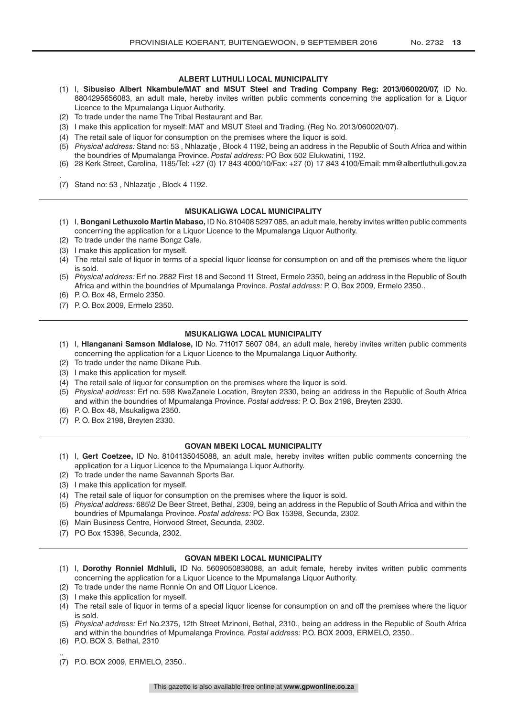# **ALBERT LUTHULI LOCAL MUNICIPALITY**

- (1) I, **Sibusiso Albert Nkambule/MAT and MSUT Steel and Trading Company Reg: 2013/060020/07,** ID No. 8804295656083, an adult male, hereby invites written public comments concerning the application for a Liquor Licence to the Mpumalanga Liquor Authority.
- (2) To trade under the name The Tribal Restaurant and Bar.
- (3) I make this application for myself: MAT and MSUT Steel and Trading. (Reg No. 2013/060020/07).
- (4) The retail sale of liquor for consumption on the premises where the liquor is sold.
- (5) *Physical address:* Stand no: 53 , Nhlazatje , Block 4 1192, being an address in the Republic of South Africa and within the boundries of Mpumalanga Province. *Postal address:* PO Box 502 Elukwatini, 1192.
- (6) 28 Kerk Street, Carolina, 1185/Tel: +27 (0) 17 843 4000/10/Fax: +27 (0) 17 843 4100/Email: mm@albertluthuli.gov.za
- (7) Stand no: 53 , Nhlazatje , Block 4 1192.

#### **MSUKALIGWA LOCAL MUNICIPALITY**

- (1) I, **Bongani Lethuxolo Martin Mabaso,** ID No. 810408 5297 085, an adult male, hereby invites written public comments concerning the application for a Liquor Licence to the Mpumalanga Liquor Authority.
- (2) To trade under the name Bongz Cafe.
- (3) I make this application for myself.
- (4) The retail sale of liquor in terms of a special liquor license for consumption on and off the premises where the liquor is sold.
- (5) *Physical address:* Erf no. 2882 First 18 and Second 11 Street, Ermelo 2350, being an address in the Republic of South Africa and within the boundries of Mpumalanga Province. *Postal address:* P. O. Box 2009, Ermelo 2350..
- (6) P. O. Box 48, Ermelo 2350.

.

(7) P. O. Box 2009, Ermelo 2350.

#### **MSUKALIGWA LOCAL MUNICIPALITY**

- (1) I, **Hlanganani Samson Mdlalose,** ID No. 711017 5607 084, an adult male, hereby invites written public comments concerning the application for a Liquor Licence to the Mpumalanga Liquor Authority.
- (2) To trade under the name Dikane Pub.
- (3) I make this application for myself.
- (4) The retail sale of liquor for consumption on the premises where the liquor is sold.
- (5) *Physical address:* Erf no. 598 KwaZanele Location, Breyten 2330, being an address in the Republic of South Africa and within the boundries of Mpumalanga Province. *Postal address:* P. O. Box 2198, Breyten 2330.
- (6) P. O. Box 48, Msukaligwa 2350.
- (7) P. O. Box 2198, Breyten 2330.

#### **GOVAN MBEKI LOCAL MUNICIPALITY**

- (1) I, **Gert Coetzee,** ID No. 8104135045088, an adult male, hereby invites written public comments concerning the application for a Liquor Licence to the Mpumalanga Liquor Authority.
- (2) To trade under the name Savannah Sports Bar.
- (3) I make this application for myself.
- (4) The retail sale of liquor for consumption on the premises where the liquor is sold.
- (5) *Physical address:* 685\2 De Beer Street, Bethal, 2309, being an address in the Republic of South Africa and within the boundries of Mpumalanga Province. *Postal address:* PO Box 15398, Secunda, 2302.
- (6) Main Business Centre, Horwood Street, Secunda, 2302.
- (7) PO Box 15398, Secunda, 2302.

#### **GOVAN MBEKI LOCAL MUNICIPALITY**

- (1) I, **Dorothy Ronniel Mdhluli,** ID No. 5609050838088, an adult female, hereby invites written public comments concerning the application for a Liquor Licence to the Mpumalanga Liquor Authority.
- (2) To trade under the name Ronnie On and Off Liquor Licence.
- (3) I make this application for myself.
- (4) The retail sale of liquor in terms of a special liquor license for consumption on and off the premises where the liquor is sold.
- (5) *Physical address:* Erf No.2375, 12th Street Mzinoni, Bethal, 2310., being an address in the Republic of South Africa and within the boundries of Mpumalanga Province. *Postal address:* P.O. BOX 2009, ERMELO, 2350..
- (6) P.O. BOX 3, Bethal, 2310
- .. (7) P.O. BOX 2009, ERMELO, 2350..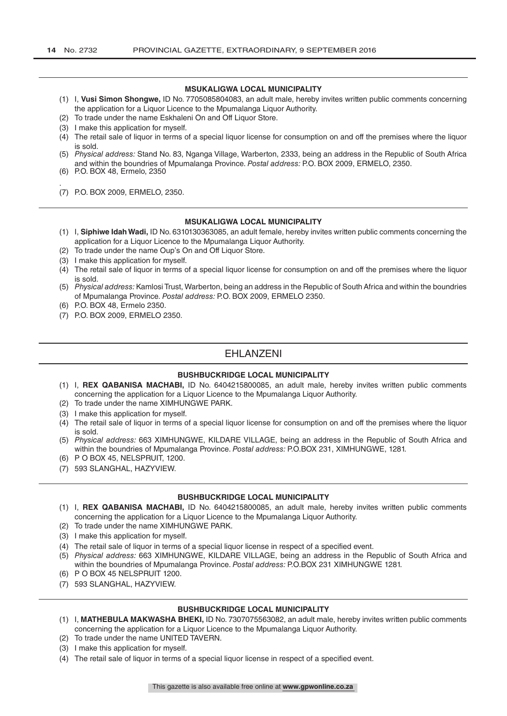.

### **MSUKALIGWA LOCAL MUNICIPALITY**

- (1) I, **Vusi Simon Shongwe,** ID No. 7705085804083, an adult male, hereby invites written public comments concerning the application for a Liquor Licence to the Mpumalanga Liquor Authority.
- (2) To trade under the name Eskhaleni On and Off Liquor Store.
- (3) I make this application for myself.
- (4) The retail sale of liquor in terms of a special liquor license for consumption on and off the premises where the liquor is sold.
- (5) *Physical address:* Stand No. 83, Nganga Village, Warberton, 2333, being an address in the Republic of South Africa and within the boundries of Mpumalanga Province. *Postal address:* P.O. BOX 2009, ERMELO, 2350.
- (6) P.O. BOX 48, Ermelo, 2350
- (7) P.O. BOX 2009, ERMELO, 2350.

#### **MSUKALIGWA LOCAL MUNICIPALITY**

- (1) I, **Siphiwe Idah Wadi,** ID No. 6310130363085, an adult female, hereby invites written public comments concerning the application for a Liquor Licence to the Mpumalanga Liquor Authority.
- (2) To trade under the name Oup's On and Off Liquor Store.
- (3) I make this application for myself.
- (4) The retail sale of liquor in terms of a special liquor license for consumption on and off the premises where the liquor is sold.
- (5) *Physical address:* Kamlosi Trust, Warberton, being an address in the Republic of South Africa and within the boundries of Mpumalanga Province. *Postal address:* P.O. BOX 2009, ERMELO 2350.
- (6) P.O. BOX 48, Ermelo 2350.
- (7) P.O. BOX 2009, ERMELO 2350.

# **FHI ANZENI**

#### **BUSHBUCKRIDGE LOCAL MUNICIPALITY**

- (1) I, **REX QABANISA MACHABI,** ID No. 6404215800085, an adult male, hereby invites written public comments concerning the application for a Liquor Licence to the Mpumalanga Liquor Authority.
- (2) To trade under the name XIMHUNGWE PARK.
- (3) I make this application for myself.
- (4) The retail sale of liquor in terms of a special liquor license for consumption on and off the premises where the liquor is sold.
- (5) *Physical address:* 663 XIMHUNGWE, KILDARE VILLAGE, being an address in the Republic of South Africa and within the boundries of Mpumalanga Province. *Postal address:* P.O.BOX 231, XIMHUNGWE, 1281.
- (6) P O BOX 45, NELSPRUIT, 1200.
- (7) 593 SLANGHAL, HAZYVIEW.

#### **BUSHBUCKRIDGE LOCAL MUNICIPALITY**

- (1) I, **REX QABANISA MACHABI,** ID No. 6404215800085, an adult male, hereby invites written public comments concerning the application for a Liquor Licence to the Mpumalanga Liquor Authority.
- (2) To trade under the name XIMHUNGWE PARK.
- (3) I make this application for myself.
- (4) The retail sale of liquor in terms of a special liquor license in respect of a specified event.
- (5) *Physical address:* 663 XIMHUNGWE, KILDARE VILLAGE, being an address in the Republic of South Africa and within the boundries of Mpumalanga Province. *Postal address:* P.O.BOX 231 XIMHUNGWE 1281.
- (6) P O BOX 45 NELSPRUIT 1200.
- (7) 593 SLANGHAL, HAZYVIEW.

#### **BUSHBUCKRIDGE LOCAL MUNICIPALITY**

- (1) I, **MATHEBULA MAKWASHA BHEKI,** ID No. 7307075563082, an adult male, hereby invites written public comments concerning the application for a Liquor Licence to the Mpumalanga Liquor Authority.
- (2) To trade under the name UNITED TAVERN.
- (3) I make this application for myself.
- (4) The retail sale of liquor in terms of a special liquor license in respect of a specified event.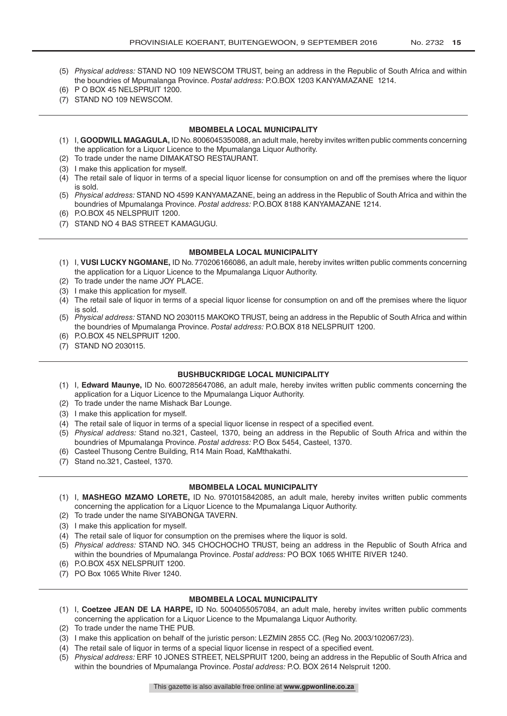- (5) *Physical address:* STAND NO 109 NEWSCOM TRUST, being an address in the Republic of South Africa and within the boundries of Mpumalanga Province. *Postal address:* P.O.BOX 1203 KANYAMAZANE 1214.
- (6) P O BOX 45 NELSPRUIT 1200.
- (7) STAND NO 109 NEWSCOM.

#### **MBOMBELA LOCAL MUNICIPALITY**

- (1) I, **GOODWILL MAGAGULA,** ID No. 8006045350088, an adult male, hereby invites written public comments concerning the application for a Liquor Licence to the Mpumalanga Liquor Authority.
- (2) To trade under the name DIMAKATSO RESTAURANT.
- (3) I make this application for myself.
- (4) The retail sale of liquor in terms of a special liquor license for consumption on and off the premises where the liquor is sold.
- (5) *Physical address:* STAND NO 4599 KANYAMAZANE, being an address in the Republic of South Africa and within the boundries of Mpumalanga Province. *Postal address:* P.O.BOX 8188 KANYAMAZANE 1214.
- (6) P.O.BOX 45 NELSPRUIT 1200.
- (7) STAND NO 4 BAS STREET KAMAGUGU.

#### **MBOMBELA LOCAL MUNICIPALITY**

- (1) I, **VUSI LUCKY NGOMANE,** ID No. 770206166086, an adult male, hereby invites written public comments concerning the application for a Liquor Licence to the Mpumalanga Liquor Authority.
- (2) To trade under the name JOY PLACE.
- (3) I make this application for myself.
- (4) The retail sale of liquor in terms of a special liquor license for consumption on and off the premises where the liquor is sold.
- (5) *Physical address:* STAND NO 2030115 MAKOKO TRUST, being an address in the Republic of South Africa and within the boundries of Mpumalanga Province. *Postal address:* P.O.BOX 818 NELSPRUIT 1200.
- (6) P.O.BOX 45 NELSPRUIT 1200.
- (7) STAND NO 2030115.

#### **BUSHBUCKRIDGE LOCAL MUNICIPALITY**

- (1) I, **Edward Maunye,** ID No. 6007285647086, an adult male, hereby invites written public comments concerning the application for a Liquor Licence to the Mpumalanga Liquor Authority.
- (2) To trade under the name Mishack Bar Lounge.
- (3) I make this application for myself.
- (4) The retail sale of liquor in terms of a special liquor license in respect of a specified event.
- (5) *Physical address:* Stand no.321, Casteel, 1370, being an address in the Republic of South Africa and within the boundries of Mpumalanga Province. *Postal address:* P.O Box 5454, Casteel, 1370.
- (6) Casteel Thusong Centre Building, R14 Main Road, KaMthakathi.
- (7) Stand no.321, Casteel, 1370.

#### **MBOMBELA LOCAL MUNICIPALITY**

- (1) I, **MASHEGO MZAMO LORETE,** ID No. 9701015842085, an adult male, hereby invites written public comments concerning the application for a Liquor Licence to the Mpumalanga Liquor Authority.
- (2) To trade under the name SIYABONGA TAVERN.
- (3) I make this application for myself.
- (4) The retail sale of liquor for consumption on the premises where the liquor is sold.
- (5) *Physical address:* STAND NO. 345 CHOCHOCHO TRUST, being an address in the Republic of South Africa and within the boundries of Mpumalanga Province. *Postal address:* PO BOX 1065 WHITE RIVER 1240.
- (6) P.O.BOX 45X NELSPRUIT 1200.
- (7) PO Box 1065 White River 1240.

# **MBOMBELA LOCAL MUNICIPALITY**

- (1) I, **Coetzee JEAN DE LA HARPE,** ID No. 5004055057084, an adult male, hereby invites written public comments concerning the application for a Liquor Licence to the Mpumalanga Liquor Authority.
- (2) To trade under the name THE PUB.
- (3) I make this application on behalf of the juristic person: LEZMIN 2855 CC. (Reg No. 2003/102067/23).
- (4) The retail sale of liquor in terms of a special liquor license in respect of a specified event.
- (5) *Physical address:* ERF 10 JONES STREET, NELSPRUIT 1200, being an address in the Republic of South Africa and within the boundries of Mpumalanga Province. *Postal address:* P.O. BOX 2614 Nelspruit 1200.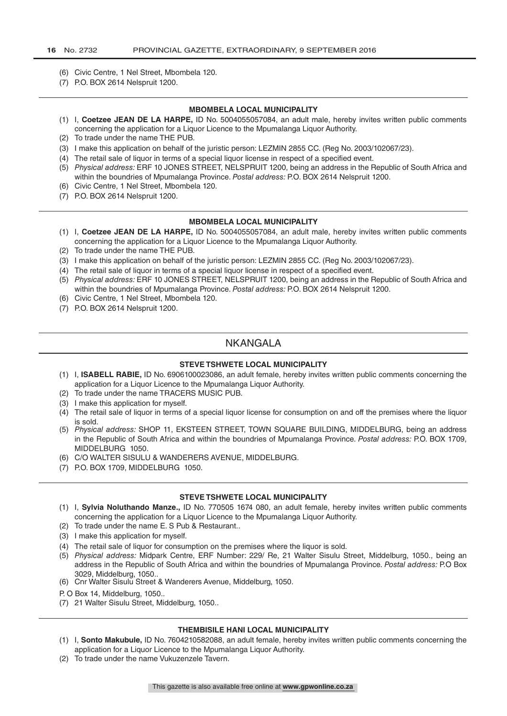- (6) Civic Centre, 1 Nel Street, Mbombela 120.
- (7) P.O. BOX 2614 Nelspruit 1200.

#### **MBOMBELA LOCAL MUNICIPALITY**

- (1) I, **Coetzee JEAN DE LA HARPE,** ID No. 5004055057084, an adult male, hereby invites written public comments concerning the application for a Liquor Licence to the Mpumalanga Liquor Authority.
- (2) To trade under the name THE PUB.
- (3) I make this application on behalf of the juristic person: LEZMIN 2855 CC. (Reg No. 2003/102067/23).
- (4) The retail sale of liquor in terms of a special liquor license in respect of a specified event.
- (5) *Physical address:* ERF 10 JONES STREET, NELSPRUIT 1200, being an address in the Republic of South Africa and within the boundries of Mpumalanga Province. *Postal address:* P.O. BOX 2614 Nelspruit 1200.
- (6) Civic Centre, 1 Nel Street, Mbombela 120.
- (7) P.O. BOX 2614 Nelspruit 1200.

#### **MBOMBELA LOCAL MUNICIPALITY**

- (1) I, **Coetzee JEAN DE LA HARPE,** ID No. 5004055057084, an adult male, hereby invites written public comments concerning the application for a Liquor Licence to the Mpumalanga Liquor Authority.
- (2) To trade under the name THE PUB.
- (3) I make this application on behalf of the juristic person: LEZMIN 2855 CC. (Reg No. 2003/102067/23).
- (4) The retail sale of liquor in terms of a special liquor license in respect of a specified event.
- (5) *Physical address:* ERF 10 JONES STREET, NELSPRUIT 1200, being an address in the Republic of South Africa and within the boundries of Mpumalanga Province. *Postal address:* P.O. BOX 2614 Nelspruit 1200.
- (6) Civic Centre, 1 Nel Street, Mbombela 120.
- (7) P.O. BOX 2614 Nelspruit 1200.

# **NKANGALA**

#### **STEVE TSHWETE LOCAL MUNICIPALITY**

- (1) I, **ISABELL RABIE,** ID No. 6906100023086, an adult female, hereby invites written public comments concerning the application for a Liquor Licence to the Mpumalanga Liquor Authority.
- (2) To trade under the name TRACERS MUSIC PUB.
- (3) I make this application for myself.
- (4) The retail sale of liquor in terms of a special liquor license for consumption on and off the premises where the liquor is sold.
- (5) *Physical address:* SHOP 11, EKSTEEN STREET, TOWN SQUARE BUILDING, MIDDELBURG, being an address in the Republic of South Africa and within the boundries of Mpumalanga Province. *Postal address:* P.O. BOX 1709, MIDDELBURG 1050.
- (6) C/O WALTER SISULU & WANDERERS AVENUE, MIDDELBURG.
- (7) P.O. BOX 1709, MIDDELBURG 1050.

#### **STEVE TSHWETE LOCAL MUNICIPALITY**

- (1) I, **Sylvia Noluthando Manze.,** ID No. 770505 1674 080, an adult female, hereby invites written public comments concerning the application for a Liquor Licence to the Mpumalanga Liquor Authority.
- (2) To trade under the name E. S Pub & Restaurant..
- (3) I make this application for myself.
- (4) The retail sale of liquor for consumption on the premises where the liquor is sold.
- (5) *Physical address:* Midpark Centre, ERF Number: 229/ Re, 21 Walter Sisulu Street, Middelburg, 1050., being an address in the Republic of South Africa and within the boundries of Mpumalanga Province. *Postal address:* P.O Box 3029, Middelburg, 1050..
- (6) Cnr Walter Sisulu Street & Wanderers Avenue, Middelburg, 1050.
- P. O Box 14, Middelburg, 1050..
- (7) 21 Walter Sisulu Street, Middelburg, 1050..

#### **THEMBISILE HANI LOCAL MUNICIPALITY**

- (1) I, **Sonto Makubule,** ID No. 7604210582088, an adult female, hereby invites written public comments concerning the application for a Liquor Licence to the Mpumalanga Liquor Authority.
- (2) To trade under the name Vukuzenzele Tavern.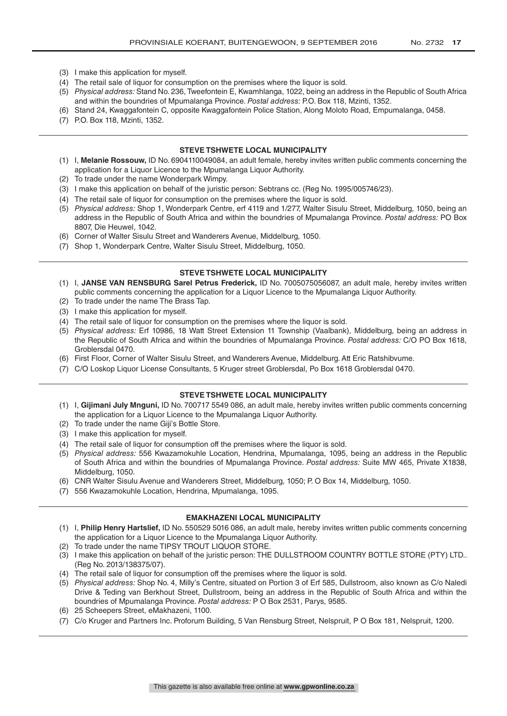- (3) I make this application for myself.
- (4) The retail sale of liquor for consumption on the premises where the liquor is sold.
- (5) *Physical address:* Stand No. 236, Tweefontein E, Kwamhlanga, 1022, being an address in the Republic of South Africa and within the boundries of Mpumalanga Province. *Postal address:* P.O. Box 118, Mzinti, 1352.
- (6) Stand 24, Kwaggafontein C, opposite Kwaggafontein Police Station, Along Moloto Road, Empumalanga, 0458.
- (7) P.O. Box 118, Mzinti, 1352.

#### **STEVE TSHWETE LOCAL MUNICIPALITY**

- (1) I, **Melanie Rossouw,** ID No. 6904110049084, an adult female, hereby invites written public comments concerning the application for a Liquor Licence to the Mpumalanga Liquor Authority.
- (2) To trade under the name Wonderpark Wimpy.
- (3) I make this application on behalf of the juristic person: Sebtrans cc. (Reg No. 1995/005746/23).
- (4) The retail sale of liquor for consumption on the premises where the liquor is sold.
- (5) *Physical address:* Shop 1, Wonderpark Centre, erf 4119 and 1/277, Walter Sisulu Street, Middelburg, 1050, being an address in the Republic of South Africa and within the boundries of Mpumalanga Province. *Postal address:* PO Box 8807, Die Heuwel, 1042.
- (6) Corner of Walter Sisulu Street and Wanderers Avenue, Middelburg, 1050.
- (7) Shop 1, Wonderpark Centre, Walter Sisulu Street, Middelburg, 1050.

#### **STEVE TSHWETE LOCAL MUNICIPALITY**

- (1) I, **JANSE VAN RENSBURG Sarel Petrus Frederick,** ID No. 7005075056087, an adult male, hereby invites written public comments concerning the application for a Liquor Licence to the Mpumalanga Liquor Authority.
- (2) To trade under the name The Brass Tap.
- (3) I make this application for myself.
- (4) The retail sale of liquor for consumption on the premises where the liquor is sold.
- (5) *Physical address:* Erf 10986, 18 Watt Street Extension 11 Township (Vaalbank), Middelburg, being an address in the Republic of South Africa and within the boundries of Mpumalanga Province. *Postal address:* C/O PO Box 1618, Groblersdal 0470.
- (6) First Floor, Corner of Walter Sisulu Street, and Wanderers Avenue, Middelburg. Att Eric Ratshibvume.
- (7) C/O Loskop Liquor License Consultants, 5 Kruger street Groblersdal, Po Box 1618 Groblersdal 0470.

#### **STEVE TSHWETE LOCAL MUNICIPALITY**

- (1) I, **Gijimani July Mnguni,** ID No. 700717 5549 086, an adult male, hereby invites written public comments concerning the application for a Liquor Licence to the Mpumalanga Liquor Authority.
- (2) To trade under the name Giji's Bottle Store.
- (3) I make this application for myself.
- (4) The retail sale of liquor for consumption off the premises where the liquor is sold.
- (5) *Physical address:* 556 Kwazamokuhle Location, Hendrina, Mpumalanga, 1095, being an address in the Republic of South Africa and within the boundries of Mpumalanga Province. *Postal address:* Suite MW 465, Private X1838, Middelburg, 1050.
- (6) CNR Walter Sisulu Avenue and Wanderers Street, Middelburg, 1050; P. O Box 14, Middelburg, 1050.
- (7) 556 Kwazamokuhle Location, Hendrina, Mpumalanga, 1095.

#### **EMAKHAZENI LOCAL MUNICIPALITY**

- (1) I, **Philip Henry Hartslief,** ID No. 550529 5016 086, an adult male, hereby invites written public comments concerning the application for a Liquor Licence to the Mpumalanga Liquor Authority.
- (2) To trade under the name TIPSY TROUT LIQUOR STORE.
- (3) I make this application on behalf of the juristic person: THE DULLSTROOM COUNTRY BOTTLE STORE (PTY) LTD.. (Reg No. 2013/138375/07).
- (4) The retail sale of liquor for consumption off the premises where the liquor is sold.
- (5) *Physical address:* Shop No. 4, Milly's Centre, situated on Portion 3 of Erf 585, Dullstroom, also known as C/o Naledi Drive & Teding van Berkhout Street, Dullstroom, being an address in the Republic of South Africa and within the boundries of Mpumalanga Province. *Postal address:* P O Box 2531, Parys, 9585.
- (6) 25 Scheepers Street, eMakhazeni, 1100.
- (7) C/o Kruger and Partners Inc. Proforum Building, 5 Van Rensburg Street, Nelspruit, P O Box 181, Nelspruit, 1200.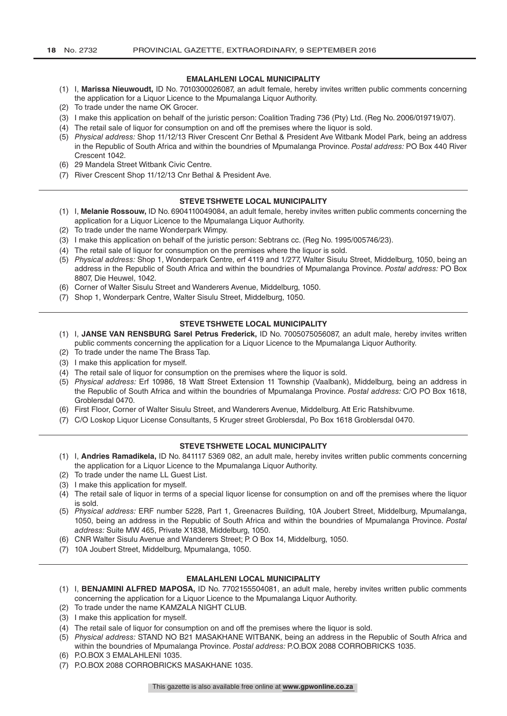### **EMALAHLENI LOCAL MUNICIPALITY**

- (1) I, **Marissa Nieuwoudt,** ID No. 7010300026087, an adult female, hereby invites written public comments concerning the application for a Liquor Licence to the Mpumalanga Liquor Authority.
- (2) To trade under the name OK Grocer.
- (3) I make this application on behalf of the juristic person: Coalition Trading 736 (Pty) Ltd. (Reg No. 2006/019719/07).
- (4) The retail sale of liquor for consumption on and off the premises where the liquor is sold.
- (5) *Physical address:* Shop 11/12/13 River Crescent Cnr Bethal & President Ave Witbank Model Park, being an address in the Republic of South Africa and within the boundries of Mpumalanga Province. *Postal address:* PO Box 440 River Crescent 1042.
- (6) 29 Mandela Street Witbank Civic Centre.
- (7) River Crescent Shop 11/12/13 Cnr Bethal & President Ave.

### **STEVE TSHWETE LOCAL MUNICIPALITY**

- (1) I, **Melanie Rossouw,** ID No. 6904110049084, an adult female, hereby invites written public comments concerning the application for a Liquor Licence to the Mpumalanga Liquor Authority.
- (2) To trade under the name Wonderpark Wimpy.
- (3) I make this application on behalf of the juristic person: Sebtrans cc. (Reg No. 1995/005746/23).
- (4) The retail sale of liquor for consumption on the premises where the liquor is sold.
- (5) *Physical address:* Shop 1, Wonderpark Centre, erf 4119 and 1/277, Walter Sisulu Street, Middelburg, 1050, being an address in the Republic of South Africa and within the boundries of Mpumalanga Province. *Postal address:* PO Box 8807, Die Heuwel, 1042.
- (6) Corner of Walter Sisulu Street and Wanderers Avenue, Middelburg, 1050.
- (7) Shop 1, Wonderpark Centre, Walter Sisulu Street, Middelburg, 1050.

#### **STEVE TSHWETE LOCAL MUNICIPALITY**

- (1) I, **JANSE VAN RENSBURG Sarel Petrus Frederick,** ID No. 7005075056087, an adult male, hereby invites written public comments concerning the application for a Liquor Licence to the Mpumalanga Liquor Authority.
- (2) To trade under the name The Brass Tap.
- (3) I make this application for myself.
- (4) The retail sale of liquor for consumption on the premises where the liquor is sold.
- (5) *Physical address:* Erf 10986, 18 Watt Street Extension 11 Township (Vaalbank), Middelburg, being an address in the Republic of South Africa and within the boundries of Mpumalanga Province. *Postal address:* C/O PO Box 1618, Groblersdal 0470.
- (6) First Floor, Corner of Walter Sisulu Street, and Wanderers Avenue, Middelburg. Att Eric Ratshibvume.
- (7) C/O Loskop Liquor License Consultants, 5 Kruger street Groblersdal, Po Box 1618 Groblersdal 0470.

#### **STEVE TSHWETE LOCAL MUNICIPALITY**

- (1) I, **Andries Ramadikela,** ID No. 841117 5369 082, an adult male, hereby invites written public comments concerning the application for a Liquor Licence to the Mpumalanga Liquor Authority.
- (2) To trade under the name LL Guest List.
- (3) I make this application for myself.
- (4) The retail sale of liquor in terms of a special liquor license for consumption on and off the premises where the liquor is sold.
- (5) *Physical address:* ERF number 5228, Part 1, Greenacres Building, 10A Joubert Street, Middelburg, Mpumalanga, 1050, being an address in the Republic of South Africa and within the boundries of Mpumalanga Province. *Postal address:* Suite MW 465, Private X1838, Middelburg, 1050.
- (6) CNR Walter Sisulu Avenue and Wanderers Street; P. O Box 14, Middelburg, 1050.
- (7) 10A Joubert Street, Middelburg, Mpumalanga, 1050.

#### **EMALAHLENI LOCAL MUNICIPALITY**

- (1) I, **BENJAMINI ALFRED MAPOSA,** ID No. 7702155504081, an adult male, hereby invites written public comments concerning the application for a Liquor Licence to the Mpumalanga Liquor Authority.
- (2) To trade under the name KAMZALA NIGHT CLUB.
- (3) I make this application for myself.
- (4) The retail sale of liquor for consumption on and off the premises where the liquor is sold.
- (5) *Physical address:* STAND NO B21 MASAKHANE WITBANK, being an address in the Republic of South Africa and within the boundries of Mpumalanga Province. *Postal address:* P.O.BOX 2088 CORROBRICKS 1035.
- (6) P.O.BOX 3 EMALAHLENI 1035.
- (7) P.O.BOX 2088 CORROBRICKS MASAKHANE 1035.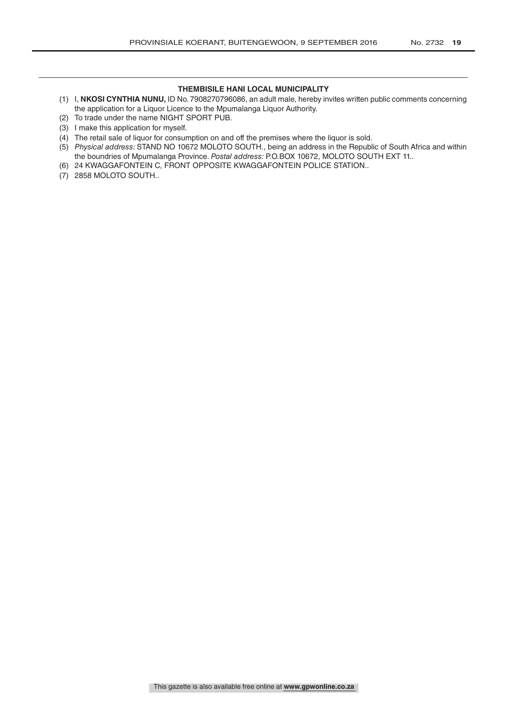# **THEMBISILE HANI LOCAL MUNICIPALITY**

- (1) I, **NKOSI CYNTHIA NUNU,** ID No. 7908270796086, an adult male, hereby invites written public comments concerning the application for a Liquor Licence to the Mpumalanga Liquor Authority.
- (2) To trade under the name NIGHT SPORT PUB.
- (3) I make this application for myself.
- (4) The retail sale of liquor for consumption on and off the premises where the liquor is sold.
- (5) *Physical address:* STAND NO 10672 MOLOTO SOUTH., being an address in the Republic of South Africa and within the boundries of Mpumalanga Province. *Postal address:* P.O.BOX 10672, MOLOTO SOUTH EXT 11..
- (6) 24 KWAGGAFONTEIN C, FRONT OPPOSITE KWAGGAFONTEIN POLICE STATION..
- (7) 2858 MOLOTO SOUTH..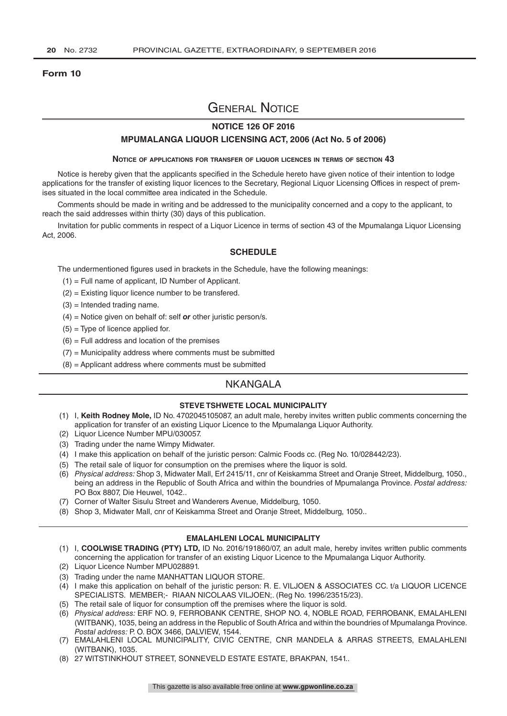#### **Form 10**

# General Notice

# **NOTICE 126 OF 2016**

#### **MPUMALANGA LIQUOR LICENSING ACT, 2006 (Act No. 5 of 2006)**

#### **Notice of applications for transfer of liquor licences in terms of section 43**

Notice is hereby given that the applicants specified in the Schedule hereto have given notice of their intention to lodge applications for the transfer of existing liquor licences to the Secretary, Regional Liquor Licensing Offices in respect of premises situated in the local committee area indicated in the Schedule.

Comments should be made in writing and be addressed to the municipality concerned and a copy to the applicant, to reach the said addresses within thirty (30) days of this publication.

Invitation for public comments in respect of a Liquor Licence in terms of section 43 of the Mpumalanga Liquor Licensing Act, 2006.

#### **SCHEDULE**

The undermentioned figures used in brackets in the Schedule, have the following meanings:

- (1) = Full name of applicant, ID Number of Applicant.
- (2) = Existing liquor licence number to be transfered.
- $(3)$  = Intended trading name.
- (4) = Notice given on behalf of: self *or* other juristic person/s.
- $(5)$  = Type of licence applied for.
- $(6)$  = Full address and location of the premises
- $(7)$  = Municipality address where comments must be submitted
- $(8)$  = Applicant address where comments must be submitted

# NKANGALA

# **STEVE TSHWETE LOCAL MUNICIPALITY**

- (1) I, **Keith Rodney Mole,** ID No. 4702045105087, an adult male, hereby invites written public comments concerning the application for transfer of an existing Liquor Licence to the Mpumalanga Liquor Authority.
- (2) Liquor Licence Number MPU/030057.
- (3) Trading under the name Wimpy Midwater.
- (4) I make this application on behalf of the juristic person: Calmic Foods cc. (Reg No. 10/028442/23).
- (5) The retail sale of liquor for consumption on the premises where the liquor is sold.
- (6) *Physical address:* Shop 3, Midwater Mall, Erf 2415/11, cnr of Keiskamma Street and Oranje Street, Middelburg, 1050., being an address in the Republic of South Africa and within the boundries of Mpumalanga Province. *Postal address:*  PO Box 8807, Die Heuwel, 1042..
- (7) Corner of Walter Sisulu Street and Wanderers Avenue, Middelburg, 1050.
- (8) Shop 3, Midwater Mall, cnr of Keiskamma Street and Oranje Street, Middelburg, 1050..

#### **EMALAHLENI LOCAL MUNICIPALITY**

- (1) I, **COOLWISE TRADING (PTY) LTD,** ID No. 2016/191860/07, an adult male, hereby invites written public comments concerning the application for transfer of an existing Liquor Licence to the Mpumalanga Liquor Authority.
- (2) Liquor Licence Number MPU028891.
- (3) Trading under the name MANHATTAN LIQUOR STORE.
- (4) I make this application on behalf of the juristic person: R. E. VILJOEN & ASSOCIATES CC. t/a LIQUOR LICENCE SPECIALISTS. MEMBER;- RIAAN NICOLAAS VILJOEN;. (Reg No. 1996/23515/23).
- (5) The retail sale of liquor for consumption off the premises where the liquor is sold.
- (6) *Physical address:* ERF NO. 9, FERROBANK CENTRE, SHOP NO. 4, NOBLE ROAD, FERROBANK, EMALAHLENI (WITBANK), 1035, being an address in the Republic of South Africa and within the boundries of Mpumalanga Province. *Postal address:* P. O. BOX 3466, DALVIEW, 1544.
- (7) EMALAHLENI LOCAL MUNICIPALITY, CIVIC CENTRE, CNR MANDELA & ARRAS STREETS, EMALAHLENI (WITBANK), 1035.
- (8) 27 WITSTINKHOUT STREET, SONNEVELD ESTATE ESTATE, BRAKPAN, 1541..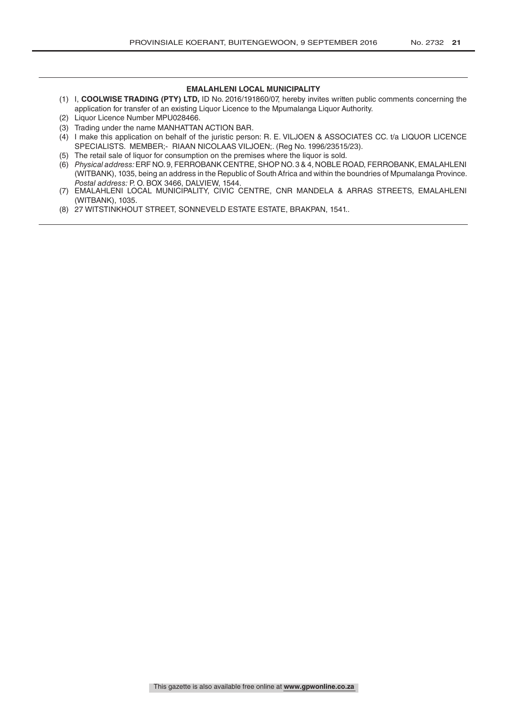### **EMALAHLENI LOCAL MUNICIPALITY**

- (1) I, **COOLWISE TRADING (PTY) LTD,** ID No. 2016/191860/07, hereby invites written public comments concerning the application for transfer of an existing Liquor Licence to the Mpumalanga Liquor Authority.
- (2) Liquor Licence Number MPU028466.
- (3) Trading under the name MANHATTAN ACTION BAR.
- (4) I make this application on behalf of the juristic person: R. E. VILJOEN & ASSOCIATES CC. t/a LIQUOR LICENCE SPECIALISTS. MEMBER;- RIAAN NICOLAAS VILJOEN;. (Reg No. 1996/23515/23).
- (5) The retail sale of liquor for consumption on the premises where the liquor is sold.
- (6) *Physical address:* ERF NO. 9, FERROBANK CENTRE, SHOP NO. 3 & 4, NOBLE ROAD, FERROBANK, EMALAHLENI (WITBANK), 1035, being an address in the Republic of South Africa and within the boundries of Mpumalanga Province. *Postal address:* P. O. BOX 3466, DALVIEW, 1544.
- (7) EMALAHLENI LOCAL MUNICIPALITY, CIVIC CENTRE, CNR MANDELA & ARRAS STREETS, EMALAHLENI (WITBANK), 1035.
- (8) 27 WITSTINKHOUT STREET, SONNEVELD ESTATE ESTATE, BRAKPAN, 1541..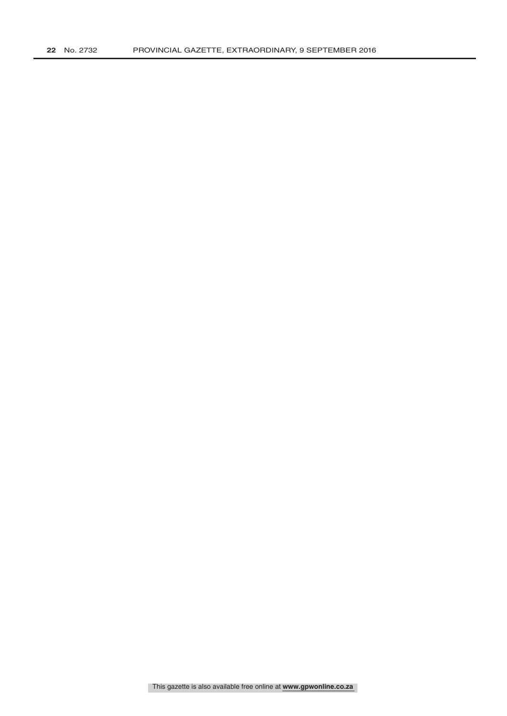This gazette is also available free online at **www.gpwonline.co.za**